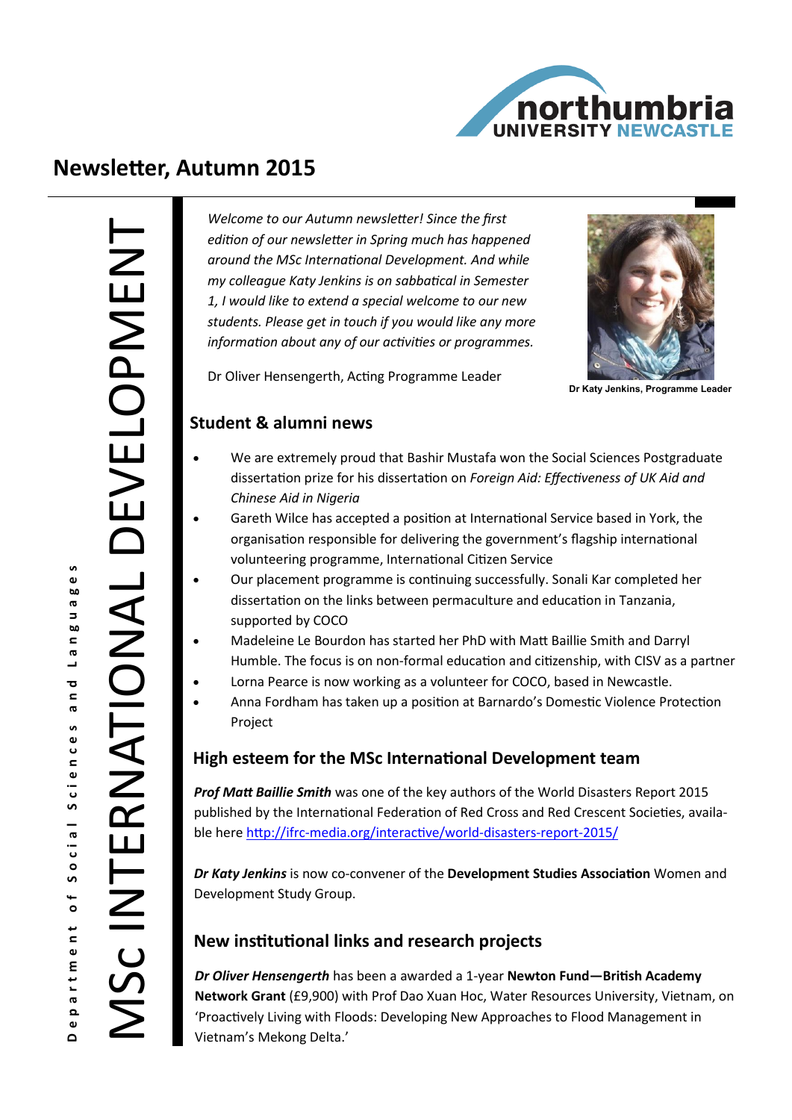

# **Newsletter, Autumn 2015**

**i** e<br>co  $\sigma$ 

n 8 u e 1

 $\mathbf{\overline{c}}$  $\mathbf{C}$ ര

Social Sciences

 $\overline{\phantom{a}}$ 

rtment

ര ء  $\bullet$  $\Omega$ 

*Welcome to our Autumn newsletter! Since the first edition of our newsletter in Spring much has happened around the MSc International Development. And while my colleague Katy Jenkins is on sabbatical in Semester 1, I would like to extend a special welcome to our new students. Please get in touch if you would like any more information about any of our activities or programmes.* 



**Dr Katy Jenkins, Programme Leader** 

#### Dr Oliver Hensengerth, Acting Programme Leader

#### **Student & alumni news**

- We are extremely proud that Bashir Mustafa won the Social Sciences Postgraduate dissertation prize for his dissertation on *Foreign Aid: Effectiveness of UK Aid and Chinese Aid in Nigeria*
- Gareth Wilce has accepted a position at International Service based in York, the organisation responsible for delivering the government's flagship international volunteering programme, International Citizen Service
- Our placement programme is continuing successfully. Sonali Kar completed her dissertation on the links between permaculture and education in Tanzania, supported by COCO
- Madeleine Le Bourdon has started her PhD with Matt Baillie Smith and Darryl Humble. The focus is on non-formal education and citizenship, with CISV as a partner
- Lorna Pearce is now working as a volunteer for COCO, based in Newcastle.
- Anna Fordham has taken up a position at Barnardo's Domestic Violence Protection Project

## **High esteem for the MSc International Development team**

*Prof Matt Baillie Smith* was one of the key authors of the World Disasters Report 2015 published by the International Federation of Red Cross and Red Crescent Societies, available here http://ifrc-[media.org/interactive/world](http://ifrc-media.org/interactive/world-disasters-report-2015/)-disasters-report-2015/

*Dr Katy Jenkins* is now co-convener of the **Development Studies Association** Women and Development Study Group.

# **New institutional links and research projects**

*Dr Oliver Hensengerth* has been a awarded a 1-year **Newton Fund—British Academy Network Grant** (£9,900) with Prof Dao Xuan Hoc, Water Resources University, Vietnam, on 'Proactively Living with Floods: Developing New Approaches to Flood Management in Vietnam's Mekong Delta.'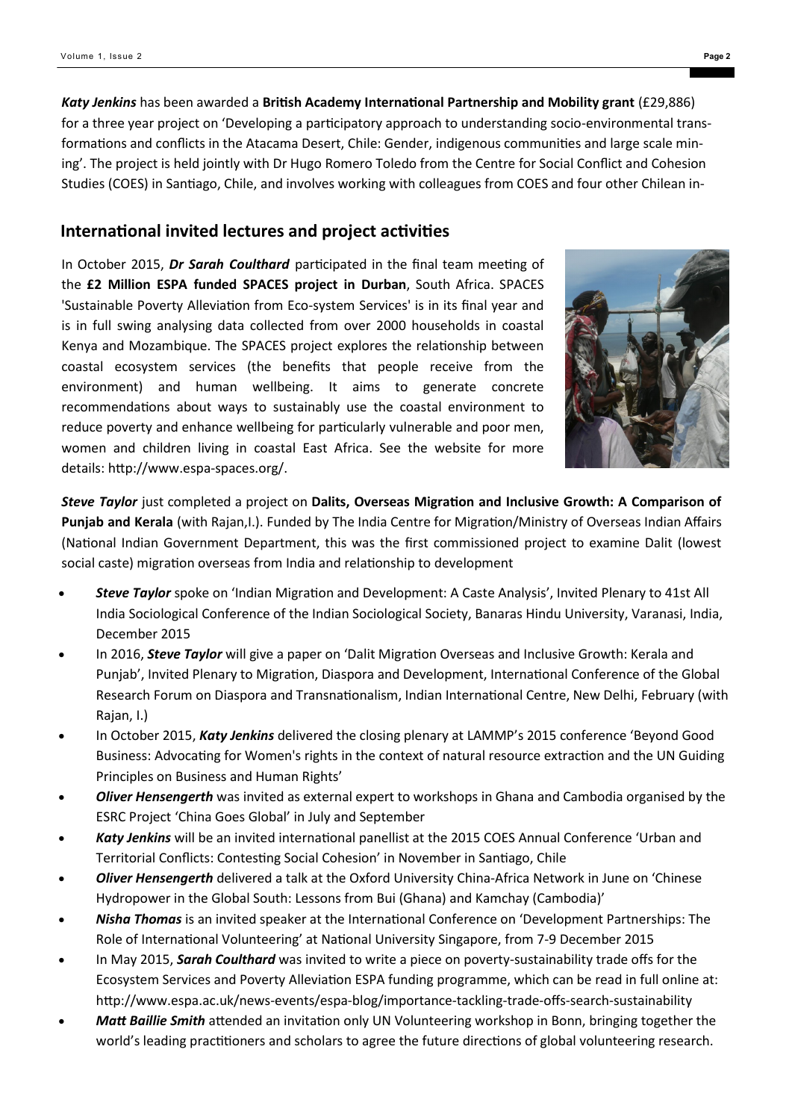*Katy Jenkins* has been awarded a **British Academy International Partnership and Mobility grant** (£29,886) for a three year project on 'Developing a participatory approach to understanding socio-environmental transformations and conflicts in the Atacama Desert, Chile: Gender, indigenous communities and large scale mining'. The project is held jointly with Dr Hugo Romero Toledo from the Centre for Social Conflict and Cohesion Studies (COES) in Santiago, Chile, and involves working with colleagues from COES and four other Chilean in-

#### **International invited lectures and project activities**

In October 2015, *Dr Sarah Coulthard* participated in the final team meeting of the **£2 Million ESPA funded SPACES project in Durban**, South Africa. SPACES 'Sustainable Poverty Alleviation from Eco-system Services' is in its final year and is in full swing analysing data collected from over 2000 households in coastal Kenya and Mozambique. The SPACES project explores the relationship between coastal ecosystem services (the benefits that people receive from the environment) and human wellbeing. It aims to generate concrete recommendations about ways to sustainably use the coastal environment to reduce poverty and enhance wellbeing for particularly vulnerable and poor men, women and children living in coastal East Africa. See the website for more details: http://www.espa-spaces.org/.



*Steve Taylor* just completed a project on **Dalits, Overseas Migration and Inclusive Growth: A Comparison of Punjab and Kerala** (with Rajan,I.). Funded by The India Centre for Migration/Ministry of Overseas Indian Affairs (National Indian Government Department, this was the first commissioned project to examine Dalit (lowest social caste) migration overseas from India and relationship to development

- *Steve Taylor* spoke on 'Indian Migration and Development: A Caste Analysis', Invited Plenary to 41st All India Sociological Conference of the Indian Sociological Society, Banaras Hindu University, Varanasi, India, December 2015
- In 2016, *Steve Taylor* will give a paper on 'Dalit Migration Overseas and Inclusive Growth: Kerala and Punjab', Invited Plenary to Migration, Diaspora and Development, International Conference of the Global Research Forum on Diaspora and Transnationalism, Indian International Centre, New Delhi, February (with Rajan, I.)
- In October 2015, *Katy Jenkins* delivered the closing plenary at LAMMP's 2015 conference 'Beyond Good Business: Advocating for Women's rights in the context of natural resource extraction and the UN Guiding Principles on Business and Human Rights'
- *Oliver Hensengerth* was invited as external expert to workshops in Ghana and Cambodia organised by the ESRC Project 'China Goes Global' in July and September
- *Katy Jenkins* will be an invited international panellist at the 2015 COES Annual Conference 'Urban and Territorial Conflicts: Contesting Social Cohesion' in November in Santiago, Chile
- *Oliver Hensengerth* delivered a talk at the Oxford University China-Africa Network in June on 'Chinese Hydropower in the Global South: Lessons from Bui (Ghana) and Kamchay (Cambodia)'
- *Nisha Thomas* is an invited speaker at the International Conference on 'Development Partnerships: The Role of International Volunteering' at National University Singapore, from 7-9 December 2015
- In May 2015, *Sarah Coulthard* was invited to write a piece on poverty-sustainability trade offs for the Ecosystem Services and Poverty Alleviation ESPA funding programme, which can be read in full online at: http://www.espa.ac.uk/news-events/espa-blog/importance-tackling-trade-offs-search-sustainability
- *Matt Baillie Smith* attended an invitation only UN Volunteering workshop in Bonn, bringing together the world's leading practitioners and scholars to agree the future directions of global volunteering research.